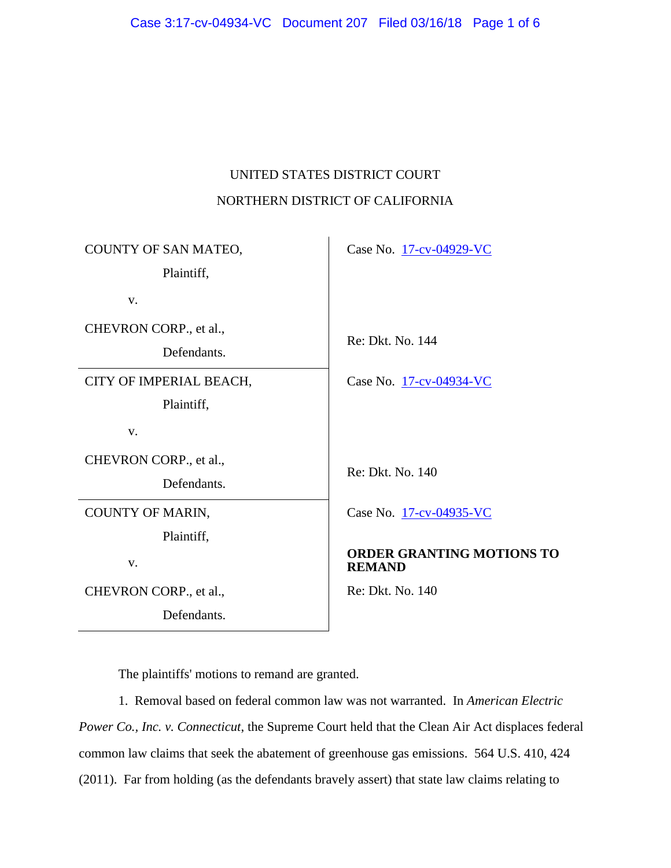# UNITED STATES DISTRICT COURT NORTHERN DISTRICT OF CALIFORNIA

| COUNTY OF SAN MATEO,<br>Plaintiff,    | Case No. 17-cv-04929-VC                           |
|---------------------------------------|---------------------------------------------------|
| V.                                    |                                                   |
| CHEVRON CORP., et al.,<br>Defendants. | Re: Dkt. No. 144                                  |
| CITY OF IMPERIAL BEACH,<br>Plaintiff, | Case No. 17-cv-04934-VC                           |
| V.                                    |                                                   |
| CHEVRON CORP., et al.,<br>Defendants. | Re: Dkt. No. 140                                  |
| COUNTY OF MARIN,<br>Plaintiff,        | Case No. 17-cv-04935-VC                           |
| V.                                    | <b>ORDER GRANTING MOTIONS TO</b><br><b>REMAND</b> |
| CHEVRON CORP., et al.,                | Re: Dkt. No. 140                                  |
| Defendants.                           |                                                   |

The plaintiffs' motions to remand are granted.

1. Removal based on federal common law was not warranted. In *American Electric Power Co., Inc. v. Connecticut*, the Supreme Court held that the Clean Air Act displaces federal common law claims that seek the abatement of greenhouse gas emissions. 564 U.S. 410, 424 (2011). Far from holding (as the defendants bravely assert) that state law claims relating to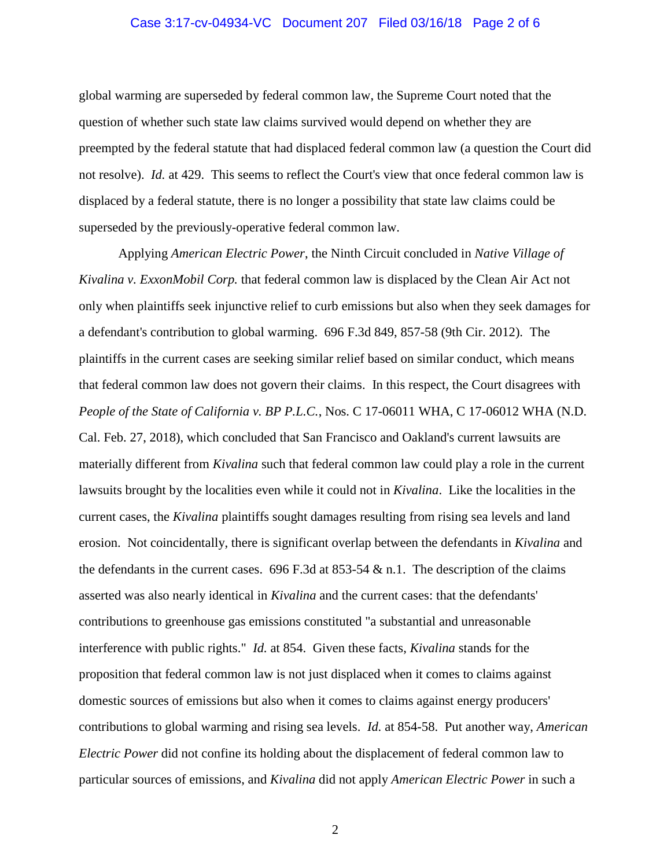## Case 3:17-cv-04934-VC Document 207 Filed 03/16/18 Page 2 of 6

global warming are superseded by federal common law, the Supreme Court noted that the question of whether such state law claims survived would depend on whether they are preempted by the federal statute that had displaced federal common law (a question the Court did not resolve). *Id.* at 429. This seems to reflect the Court's view that once federal common law is displaced by a federal statute, there is no longer a possibility that state law claims could be superseded by the previously-operative federal common law.

Applying *American Electric Power*, the Ninth Circuit concluded in *Native Village of Kivalina v. ExxonMobil Corp.* that federal common law is displaced by the Clean Air Act not only when plaintiffs seek injunctive relief to curb emissions but also when they seek damages for a defendant's contribution to global warming. 696 F.3d 849, 857-58 (9th Cir. 2012). The plaintiffs in the current cases are seeking similar relief based on similar conduct, which means that federal common law does not govern their claims. In this respect, the Court disagrees with *People of the State of California v. BP P.L.C.*, Nos. C 17-06011 WHA, C 17-06012 WHA (N.D. Cal. Feb. 27, 2018), which concluded that San Francisco and Oakland's current lawsuits are materially different from *Kivalina* such that federal common law could play a role in the current lawsuits brought by the localities even while it could not in *Kivalina*. Like the localities in the current cases, the *Kivalina* plaintiffs sought damages resulting from rising sea levels and land erosion. Not coincidentally, there is significant overlap between the defendants in *Kivalina* and the defendants in the current cases. 696 F.3d at 853-54  $\&$  n.1. The description of the claims asserted was also nearly identical in *Kivalina* and the current cases: that the defendants' contributions to greenhouse gas emissions constituted "a substantial and unreasonable interference with public rights." *Id.* at 854. Given these facts, *Kivalina* stands for the proposition that federal common law is not just displaced when it comes to claims against domestic sources of emissions but also when it comes to claims against energy producers' contributions to global warming and rising sea levels. *Id.* at 854-58. Put another way, *American Electric Power* did not confine its holding about the displacement of federal common law to particular sources of emissions, and *Kivalina* did not apply *American Electric Power* in such a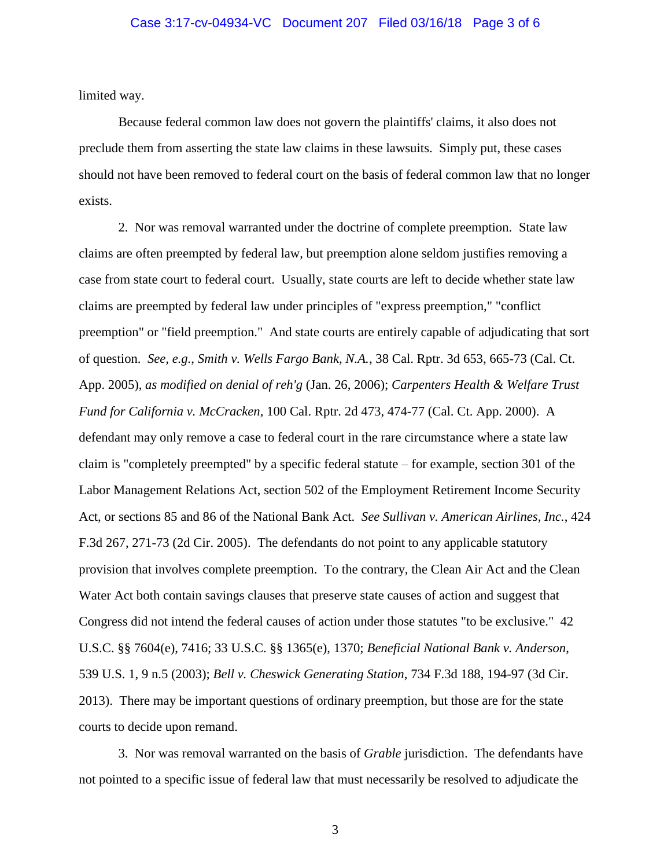## Case 3:17-cv-04934-VC Document 207 Filed 03/16/18 Page 3 of 6

limited way.

Because federal common law does not govern the plaintiffs' claims, it also does not preclude them from asserting the state law claims in these lawsuits. Simply put, these cases should not have been removed to federal court on the basis of federal common law that no longer exists.

2. Nor was removal warranted under the doctrine of complete preemption. State law claims are often preempted by federal law, but preemption alone seldom justifies removing a case from state court to federal court. Usually, state courts are left to decide whether state law claims are preempted by federal law under principles of "express preemption," "conflict preemption" or "field preemption." And state courts are entirely capable of adjudicating that sort of question. *See, e.g.*, *Smith v. Wells Fargo Bank, N.A.*, 38 Cal. Rptr. 3d 653, 665-73 (Cal. Ct. App. 2005), *as modified on denial of reh'g* (Jan. 26, 2006); *Carpenters Health & Welfare Trust Fund for California v. McCracken*, 100 Cal. Rptr. 2d 473, 474-77 (Cal. Ct. App. 2000). A defendant may only remove a case to federal court in the rare circumstance where a state law claim is "completely preempted" by a specific federal statute – for example, section 301 of the Labor Management Relations Act, section 502 of the Employment Retirement Income Security Act, or sections 85 and 86 of the National Bank Act. *See Sullivan v. American Airlines, Inc.*, 424 F.3d 267, 271-73 (2d Cir. 2005). The defendants do not point to any applicable statutory provision that involves complete preemption. To the contrary, the Clean Air Act and the Clean Water Act both contain savings clauses that preserve state causes of action and suggest that Congress did not intend the federal causes of action under those statutes "to be exclusive." 42 U.S.C. §§ 7604(e), 7416; 33 U.S.C. §§ 1365(e), 1370; *Beneficial National Bank v. Anderson*, 539 U.S. 1, 9 n.5 (2003); *Bell v. Cheswick Generating Station*, 734 F.3d 188, 194-97 (3d Cir. 2013). There may be important questions of ordinary preemption, but those are for the state courts to decide upon remand.

3. Nor was removal warranted on the basis of *Grable* jurisdiction. The defendants have not pointed to a specific issue of federal law that must necessarily be resolved to adjudicate the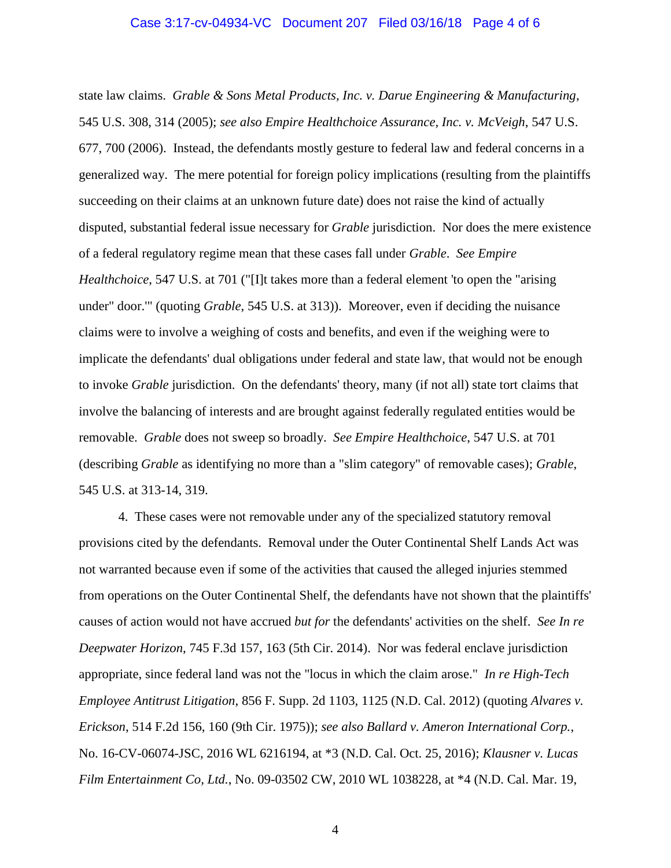state law claims. *Grable & Sons Metal Products, Inc. v. Darue Engineering & Manufacturing*, 545 U.S. 308, 314 (2005); *see also Empire Healthchoice Assurance, Inc. v. McVeigh*, 547 U.S. 677, 700 (2006). Instead, the defendants mostly gesture to federal law and federal concerns in a generalized way. The mere potential for foreign policy implications (resulting from the plaintiffs succeeding on their claims at an unknown future date) does not raise the kind of actually disputed, substantial federal issue necessary for *Grable* jurisdiction. Nor does the mere existence of a federal regulatory regime mean that these cases fall under *Grable*. *See Empire Healthchoice*, 547 U.S. at 701 ("[I]t takes more than a federal element 'to open the "arising" under" door.'" (quoting *Grable*, 545 U.S. at 313)). Moreover, even if deciding the nuisance claims were to involve a weighing of costs and benefits, and even if the weighing were to implicate the defendants' dual obligations under federal and state law, that would not be enough to invoke *Grable* jurisdiction. On the defendants' theory, many (if not all) state tort claims that involve the balancing of interests and are brought against federally regulated entities would be removable. *Grable* does not sweep so broadly. *See Empire Healthchoice*, 547 U.S. at 701 (describing *Grable* as identifying no more than a "slim category" of removable cases); *Grable*, 545 U.S. at 313-14, 319.

4. These cases were not removable under any of the specialized statutory removal provisions cited by the defendants. Removal under the Outer Continental Shelf Lands Act was not warranted because even if some of the activities that caused the alleged injuries stemmed from operations on the Outer Continental Shelf, the defendants have not shown that the plaintiffs' causes of action would not have accrued *but for* the defendants' activities on the shelf. *See In re Deepwater Horizon*, 745 F.3d 157, 163 (5th Cir. 2014). Nor was federal enclave jurisdiction appropriate, since federal land was not the "locus in which the claim arose." *In re High-Tech Employee Antitrust Litigation*, 856 F. Supp. 2d 1103, 1125 (N.D. Cal. 2012) (quoting *Alvares v. Erickson*, 514 F.2d 156, 160 (9th Cir. 1975)); *see also Ballard v. Ameron International Corp.*, No. 16-CV-06074-JSC, 2016 WL 6216194, at \*3 (N.D. Cal. Oct. 25, 2016); *Klausner v. Lucas Film Entertainment Co, Ltd.*, No. 09-03502 CW, 2010 WL 1038228, at \*4 (N.D. Cal. Mar. 19,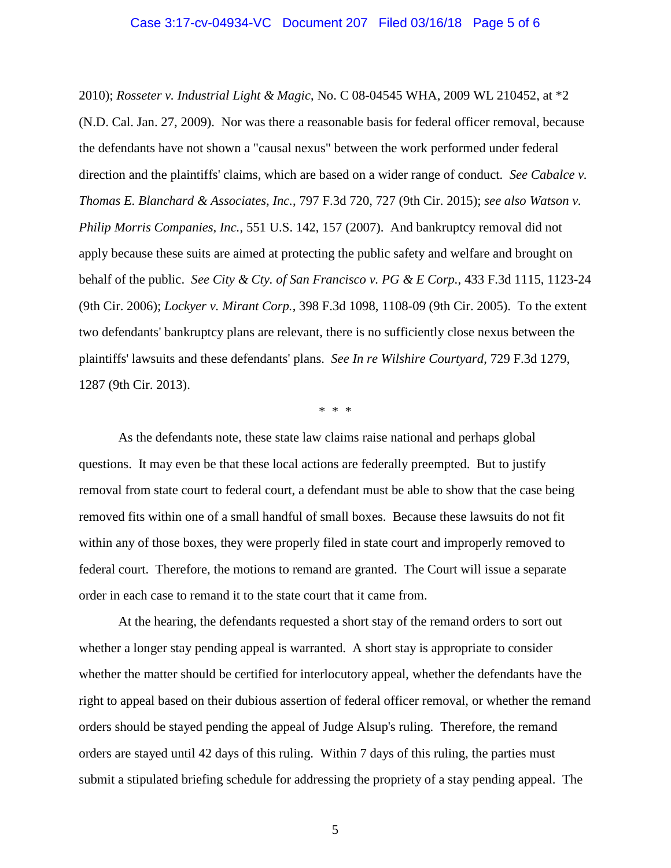## Case 3:17-cv-04934-VC Document 207 Filed 03/16/18 Page 5 of 6

2010); *Rosseter v. Industrial Light & Magic*, No. C 08-04545 WHA, 2009 WL 210452, at \*2 (N.D. Cal. Jan. 27, 2009). Nor was there a reasonable basis for federal officer removal, because the defendants have not shown a "causal nexus" between the work performed under federal direction and the plaintiffs' claims, which are based on a wider range of conduct. *See Cabalce v. Thomas E. Blanchard & Associates, Inc.*, 797 F.3d 720, 727 (9th Cir. 2015); *see also Watson v. Philip Morris Companies, Inc.*, 551 U.S. 142, 157 (2007). And bankruptcy removal did not apply because these suits are aimed at protecting the public safety and welfare and brought on behalf of the public. *See City & Cty. of San Francisco v. PG & E Corp.*, 433 F.3d 1115, 1123-24 (9th Cir. 2006); *Lockyer v. Mirant Corp.*, 398 F.3d 1098, 1108-09 (9th Cir. 2005). To the extent two defendants' bankruptcy plans are relevant, there is no sufficiently close nexus between the plaintiffs' lawsuits and these defendants' plans. *See In re Wilshire Courtyard*, 729 F.3d 1279, 1287 (9th Cir. 2013).

\* \* \*

As the defendants note, these state law claims raise national and perhaps global questions. It may even be that these local actions are federally preempted. But to justify removal from state court to federal court, a defendant must be able to show that the case being removed fits within one of a small handful of small boxes. Because these lawsuits do not fit within any of those boxes, they were properly filed in state court and improperly removed to federal court. Therefore, the motions to remand are granted. The Court will issue a separate order in each case to remand it to the state court that it came from.

At the hearing, the defendants requested a short stay of the remand orders to sort out whether a longer stay pending appeal is warranted. A short stay is appropriate to consider whether the matter should be certified for interlocutory appeal, whether the defendants have the right to appeal based on their dubious assertion of federal officer removal, or whether the remand orders should be stayed pending the appeal of Judge Alsup's ruling. Therefore, the remand orders are stayed until 42 days of this ruling. Within 7 days of this ruling, the parties must submit a stipulated briefing schedule for addressing the propriety of a stay pending appeal. The